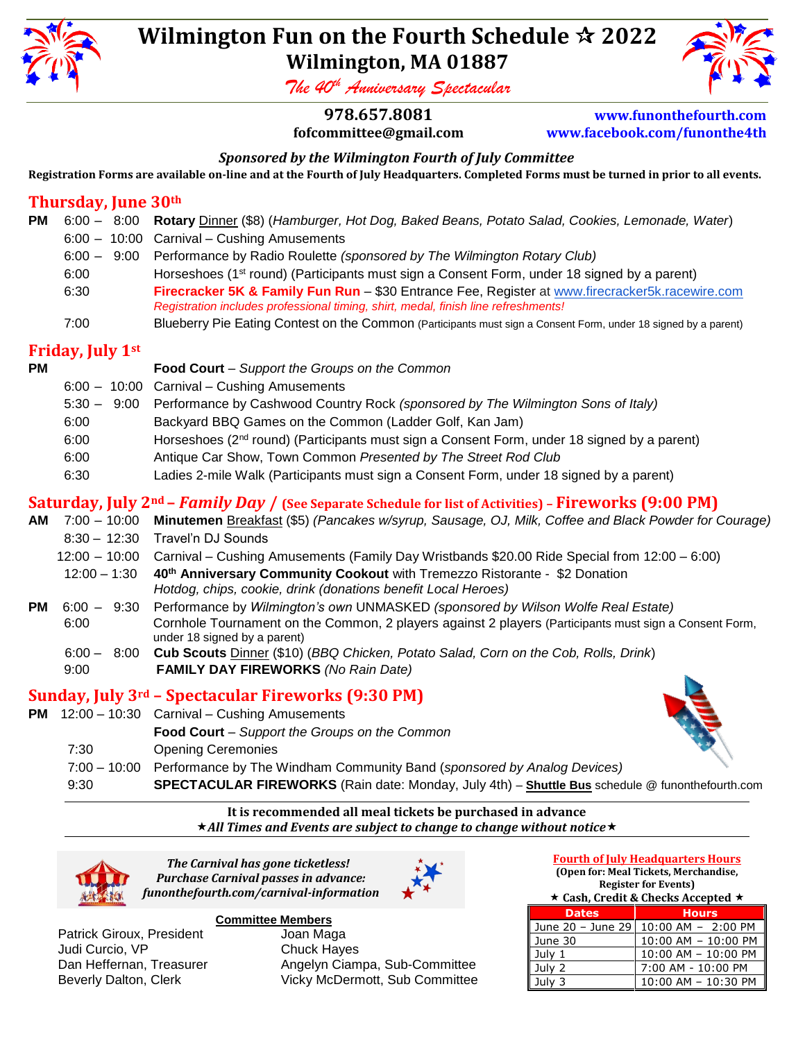

# **Wilmington Fun on the Fourth Schedule 2022 Wilmington, MA 01887**

*The 40th Anniversary Spectacular* 

**978.657.8081 [www.funonthefourth.com](http://www.funonthefourth.com/)**

**fofcommittee@gmail.com [www.facebook.com/funonthe4th](http://www.facebook.com/funonthe4th)**

# *Sponsored by the Wilmington Fourth of July Committee*

**Registration Forms are available on-line and at the Fourth of July Headquarters. Completed Forms must be turned in prior to all events.**

# **Thursday, June 30th**

| РM |      | 6:00 - 8:00 Rotary Dinner (\$8) (Hamburger, Hot Dog, Baked Beans, Potato Salad, Cookies, Lemonade, Water)                                                                             |
|----|------|---------------------------------------------------------------------------------------------------------------------------------------------------------------------------------------|
|    |      | $6:00 - 10:00$ Carnival – Cushing Amusements                                                                                                                                          |
|    |      | 6:00 - 9:00 Performance by Radio Roulette (sponsored by The Wilmington Rotary Club)                                                                                                   |
|    | 6:00 | Horseshoes (1 <sup>st</sup> round) (Participants must sign a Consent Form, under 18 signed by a parent)                                                                               |
|    | 6:30 | Firecracker 5K & Family Fun Run - \$30 Entrance Fee, Register at www.firecracker5k.racewire.com<br>Registration includes professional timing, shirt, medal, finish line refreshments! |
|    | 7:00 | Blueberry Pie Eating Contest on the Common (Participants must sign a Consent Form, under 18 signed by a parent)                                                                       |

### **Friday, July 1st**

| РM |                         | Food Court - Support the Groups on the Common                                                                                          |
|----|-------------------------|----------------------------------------------------------------------------------------------------------------------------------------|
|    |                         | 6:00 - 10:00 Carnival - Cushing Amusements                                                                                             |
|    |                         | 5:30 - 9:00 Performance by Cashwood Country Rock (sponsored by The Wilmington Sons of Italy)                                           |
|    | 6:00                    | Backyard BBQ Games on the Common (Ladder Golf, Kan Jam)                                                                                |
|    | 6:00                    | Horseshoes (2 <sup>nd</sup> round) (Participants must sign a Consent Form, under 18 signed by a parent)                                |
|    | 6:00                    | Antique Car Show, Town Common Presented by The Street Rod Club                                                                         |
|    | 6:30                    | Ladies 2-mile Walk (Participants must sign a Consent Form, under 18 signed by a parent)                                                |
|    |                         | <b>Saturday, July 2nd – <i>Family Day</i> / (See Separate Schedule for list of Activities) - Fireworks (9:00 PM)</b>                   |
|    |                         | AM 7:00 - 10:00 Minutemen Breakfast (\$5) (Pancakes w/syrup, Sausage, OJ, Milk, Coffee and Black Powder for Courage)                   |
|    |                         | 8:30 - 12:30 Travel'n DJ Sounds                                                                                                        |
|    |                         | 12:00 - 10:00 Carnival - Cushing Amusements (Family Day Wristbands \$20.00 Ride Special from 12:00 - 6:00)                             |
|    | $12:00 - 1:30$          | 40th Anniversary Community Cookout with Tremezzo Ristorante - \$2 Donation                                                             |
|    |                         | Hotdog, chips, cookie, drink (donations benefit Local Heroes)                                                                          |
|    | <b>PM</b> $6:00 - 9:30$ | Performance by Wilmington's own UNMASKED (sponsored by Wilson Wolfe Real Estate)                                                       |
|    | 6:00                    | Cornhole Tournament on the Common, 2 players against 2 players (Participants must sign a Consent Form,<br>under 18 signed by a parent) |
|    |                         | 6:00 - 8:00 Cub Scouts Dinner (\$10) (BBQ Chicken, Potato Salad, Corn on the Cob, Rolls, Drink)                                        |
|    | 9:00                    | <b>FAMILY DAY FIREWORKS (No Rain Date)</b>                                                                                             |
|    |                         | Sunday, July 3rd – Spectacular Fireworks (9:30 PM)                                                                                     |
|    |                         | PM 12:00 - 10:30 Carnival - Cushing Amusements                                                                                         |
|    |                         | Food Court - Support the Groups on the Common                                                                                          |
|    | 7:30                    | <b>Opening Ceremonies</b>                                                                                                              |
|    |                         |                                                                                                                                        |

- 7:00 10:00 Performance by The Windham Community Band (*sponsored by Analog Devices)*
	- 9:30 **SPECTACULAR FIREWORKS** (Rain date: Monday, July 4th) **Shuttle Bus** schedule @ funonthefourth.com

#### **It is recommended all meal tickets be purchased in advance** *All Times and Events are subject to change to change without notice*



*The Carnival has gone ticketless! Purchase Carnival passes in advance: funonthefourth.com/carnival-information*



Patrick Giroux, President Judi Curcio, VP Chuck Hayes

# **Committee Members**

Dan Heffernan, Treasurer **Angelyn Ciampa, Sub-Committee** Beverly Dalton, Clerk Vicky McDermott, Sub Committee

### **Fourth of July Headquarters Hours**

**(Open for: Meal Tickets, Merchandise, Register for Events)** 

|  |                                                                                     |  | ★ Cash, Credit & Checks Accepted ★ |  |
|--|-------------------------------------------------------------------------------------|--|------------------------------------|--|
|  | the company's company's company's company's company's company's company's company's |  |                                    |  |

| <b>Dates</b> | <b>Hours</b>                           |
|--------------|----------------------------------------|
|              | June 20 - June 29   10:00 AM - 2:00 PM |
| June 30      | 10:00 AM - 10:00 PM                    |
| Julv 1       | 10:00 AM - 10:00 PM                    |
| July 2       | 7:00 AM - 10:00 PM                     |
| Julv 3       | 10:00 AM - 10:30 PM                    |